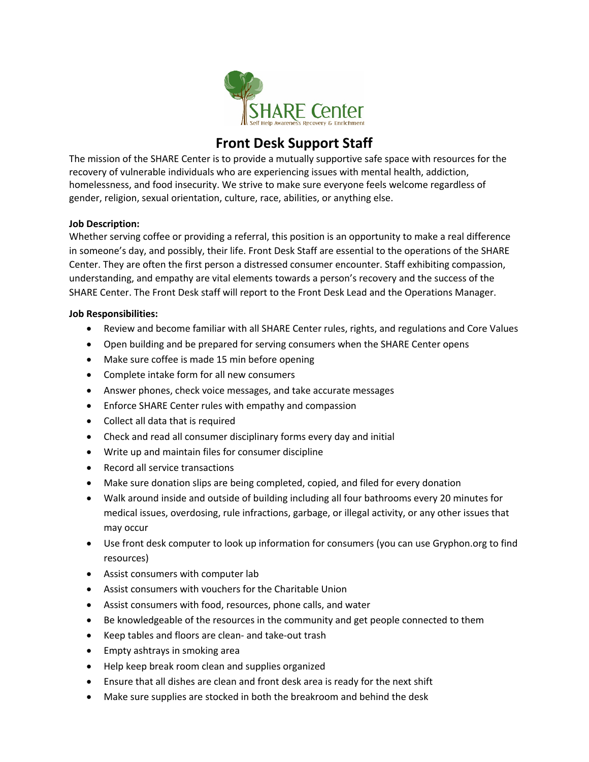

## **Front Desk Support Staff**

The mission of the SHARE Center is to provide a mutually supportive safe space with resources for the recovery of vulnerable individuals who are experiencing issues with mental health, addiction, homelessness, and food insecurity. We strive to make sure everyone feels welcome regardless of gender, religion, sexual orientation, culture, race, abilities, or anything else.

## **Job Description:**

Whether serving coffee or providing a referral, this position is an opportunity to make a real difference in someone's day, and possibly, their life. Front Desk Staff are essential to the operations of the SHARE Center. They are often the first person a distressed consumer encounter. Staff exhibiting compassion, understanding, and empathy are vital elements towards a person's recovery and the success of the SHARE Center. The Front Desk staff will report to the Front Desk Lead and the Operations Manager.

## **Job Responsibilities:**

- Review and become familiar with all SHARE Center rules, rights, and regulations and Core Values
- Open building and be prepared for serving consumers when the SHARE Center opens
- Make sure coffee is made 15 min before opening
- Complete intake form for all new consumers
- Answer phones, check voice messages, and take accurate messages
- Enforce SHARE Center rules with empathy and compassion
- Collect all data that is required
- Check and read all consumer disciplinary forms every day and initial
- Write up and maintain files for consumer discipline
- Record all service transactions
- Make sure donation slips are being completed, copied, and filed for every donation
- Walk around inside and outside of building including all four bathrooms every 20 minutes for medical issues, overdosing, rule infractions, garbage, or illegal activity, or any other issues that may occur
- Use front desk computer to look up information for consumers (you can use Gryphon.org to find resources)
- Assist consumers with computer lab
- Assist consumers with vouchers for the Charitable Union
- Assist consumers with food, resources, phone calls, and water
- Be knowledgeable of the resources in the community and get people connected to them
- Keep tables and floors are clean- and take-out trash
- Empty ashtrays in smoking area
- Help keep break room clean and supplies organized
- Ensure that all dishes are clean and front desk area is ready for the next shift
- Make sure supplies are stocked in both the breakroom and behind the desk